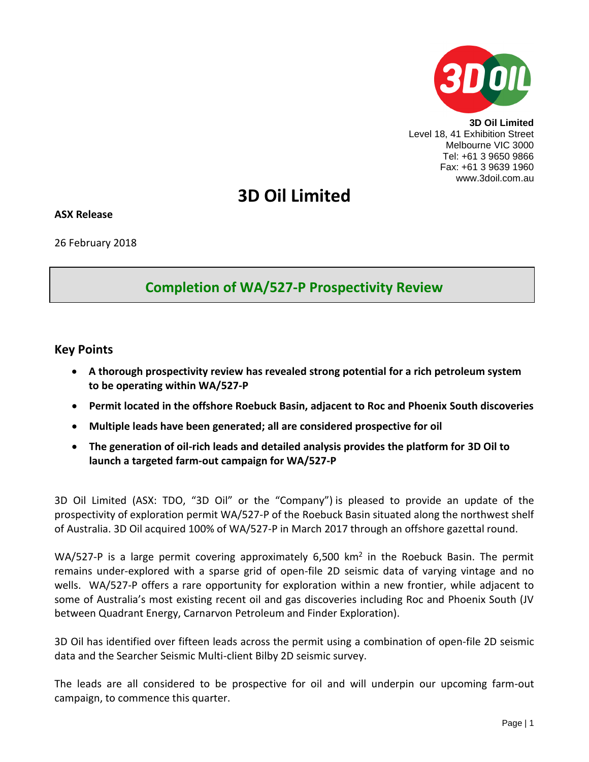

**3D Oil Limited** Level 18, 41 Exhibition Street Melbourne VIC 3000 Tel: +61 3 9650 9866 Fax: +61 3 9639 1960 www.3doil.com.au

# **3D Oil Limited**

**ASX Release**

26 February 2018

# **Completion of WA/527-P Prospectivity Review**

## **Key Points**

- **A thorough prospectivity review has revealed strong potential for a rich petroleum system to be operating within WA/527-P**
- **Permit located in the offshore Roebuck Basin, adjacent to Roc and Phoenix South discoveries**
- **Multiple leads have been generated; all are considered prospective for oil**
- **The generation of oil-rich leads and detailed analysis provides the platform for 3D Oil to launch a targeted farm-out campaign for WA/527-P**

3D Oil Limited (ASX: TDO, "3D Oil" or the "Company") is pleased to provide an update of the prospectivity of exploration permit WA/527-P of the Roebuck Basin situated along the northwest shelf of Australia. 3D Oil acquired 100% of WA/527-P in March 2017 through an offshore gazettal round.

WA/527-P is a large permit covering approximately 6,500  $km^2$  in the Roebuck Basin. The permit remains under-explored with a sparse grid of open-file 2D seismic data of varying vintage and no wells. WA/527-P offers a rare opportunity for exploration within a new frontier, while adjacent to some of Australia's most existing recent oil and gas discoveries including Roc and Phoenix South (JV between Quadrant Energy, Carnarvon Petroleum and Finder Exploration).

3D Oil has identified over fifteen leads across the permit using a combination of open-file 2D seismic data and the Searcher Seismic Multi-client Bilby 2D seismic survey.

The leads are all considered to be prospective for oil and will underpin our upcoming farm-out campaign, to commence this quarter.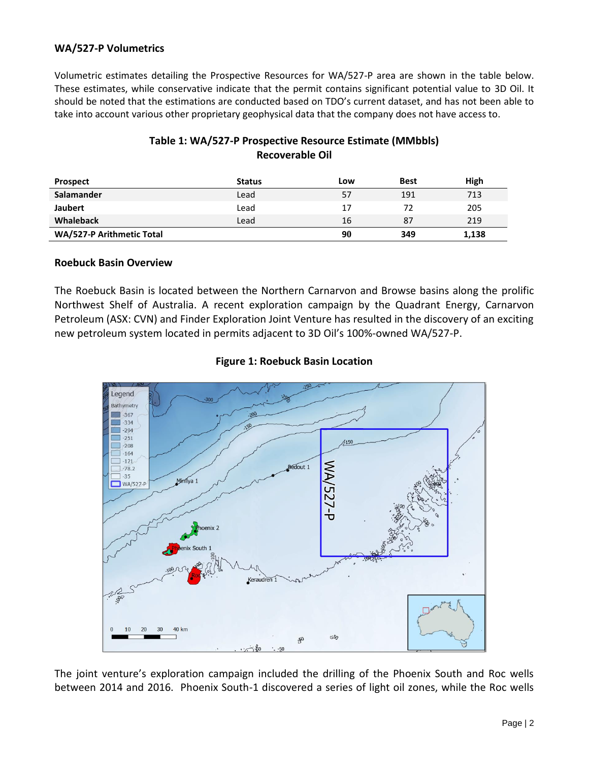#### **WA/527-P Volumetrics**

Volumetric estimates detailing the Prospective Resources for WA/527-P area are shown in the table below. These estimates, while conservative indicate that the permit contains significant potential value to 3D Oil. It should be noted that the estimations are conducted based on TDO's current dataset, and has not been able to take into account various other proprietary geophysical data that the company does not have access to.

## **Table 1: WA/527-P Prospective Resource Estimate (MMbbls) Recoverable Oil**

| <b>Prospect</b>           | <b>Status</b> | Low | <b>Best</b> | High  |
|---------------------------|---------------|-----|-------------|-------|
| Salamander                | Lead          | 57  | 191         | 713   |
| <b>Jaubert</b>            | Lead          | 17  | 72          | 205   |
| <b>Whaleback</b>          | Lead          | 16  | 87          | 219   |
| WA/527-P Arithmetic Total |               | 90  | 349         | 1,138 |

#### **Roebuck Basin Overview**

The Roebuck Basin is located between the Northern Carnarvon and Browse basins along the prolific Northwest Shelf of Australia. A recent exploration campaign by the Quadrant Energy, Carnarvon Petroleum (ASX: CVN) and Finder Exploration Joint Venture has resulted in the discovery of an exciting new petroleum system located in permits adjacent to 3D Oil's 100%-owned WA/527-P.



#### **Figure 1: Roebuck Basin Location**

The joint venture's exploration campaign included the drilling of the Phoenix South and Roc wells between 2014 and 2016. Phoenix South-1 discovered a series of light oil zones, while the Roc wells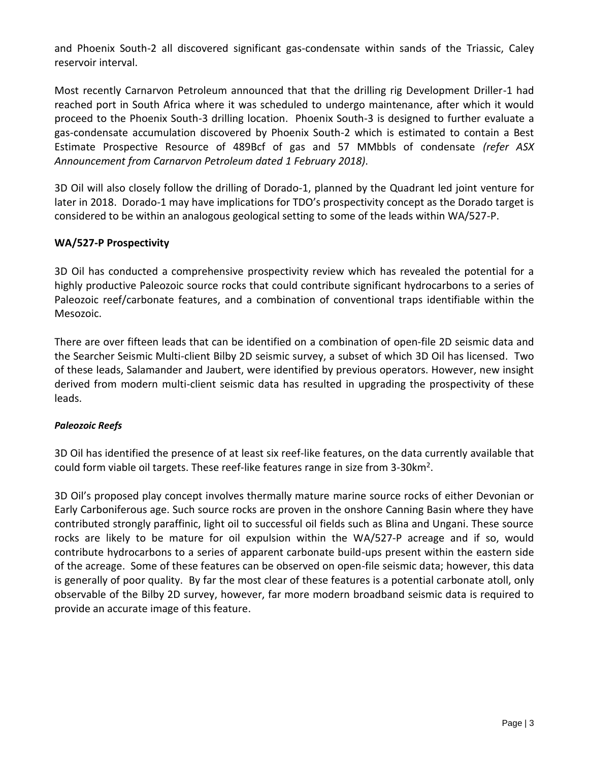and Phoenix South-2 all discovered significant gas-condensate within sands of the Triassic, Caley reservoir interval.

Most recently Carnarvon Petroleum announced that that the drilling rig Development Driller-1 had reached port in South Africa where it was scheduled to undergo maintenance, after which it would proceed to the Phoenix South-3 drilling location. Phoenix South-3 is designed to further evaluate a gas-condensate accumulation discovered by Phoenix South-2 which is estimated to contain a Best Estimate Prospective Resource of 489Bcf of gas and 57 MMbbls of condensate *(refer ASX Announcement from Carnarvon Petroleum dated 1 February 2018)*.

3D Oil will also closely follow the drilling of Dorado-1, planned by the Quadrant led joint venture for later in 2018. Dorado-1 may have implications for TDO's prospectivity concept as the Dorado target is considered to be within an analogous geological setting to some of the leads within WA/527-P.

#### **WA/527-P Prospectivity**

3D Oil has conducted a comprehensive prospectivity review which has revealed the potential for a highly productive Paleozoic source rocks that could contribute significant hydrocarbons to a series of Paleozoic reef/carbonate features, and a combination of conventional traps identifiable within the Mesozoic.

There are over fifteen leads that can be identified on a combination of open-file 2D seismic data and the Searcher Seismic Multi-client Bilby 2D seismic survey, a subset of which 3D Oil has licensed. Two of these leads, Salamander and Jaubert, were identified by previous operators. However, new insight derived from modern multi-client seismic data has resulted in upgrading the prospectivity of these leads.

#### *Paleozoic Reefs*

3D Oil has identified the presence of at least six reef-like features, on the data currently available that could form viable oil targets. These reef-like features range in size from 3-30km<sup>2</sup>.

3D Oil's proposed play concept involves thermally mature marine source rocks of either Devonian or Early Carboniferous age. Such source rocks are proven in the onshore Canning Basin where they have contributed strongly paraffinic, light oil to successful oil fields such as Blina and Ungani. These source rocks are likely to be mature for oil expulsion within the WA/527-P acreage and if so, would contribute hydrocarbons to a series of apparent carbonate build-ups present within the eastern side of the acreage. Some of these features can be observed on open-file seismic data; however, this data is generally of poor quality. By far the most clear of these features is a potential carbonate atoll, only observable of the Bilby 2D survey, however, far more modern broadband seismic data is required to provide an accurate image of this feature.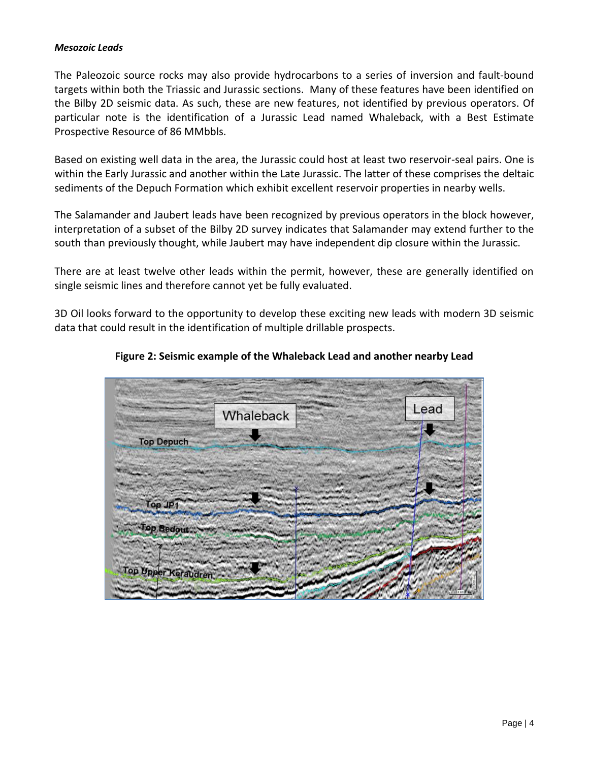#### *Mesozoic Leads*

The Paleozoic source rocks may also provide hydrocarbons to a series of inversion and fault-bound targets within both the Triassic and Jurassic sections. Many of these features have been identified on the Bilby 2D seismic data. As such, these are new features, not identified by previous operators. Of particular note is the identification of a Jurassic Lead named Whaleback, with a Best Estimate Prospective Resource of 86 MMbbls.

Based on existing well data in the area, the Jurassic could host at least two reservoir-seal pairs. One is within the Early Jurassic and another within the Late Jurassic. The latter of these comprises the deltaic sediments of the Depuch Formation which exhibit excellent reservoir properties in nearby wells.

The Salamander and Jaubert leads have been recognized by previous operators in the block however, interpretation of a subset of the Bilby 2D survey indicates that Salamander may extend further to the south than previously thought, while Jaubert may have independent dip closure within the Jurassic.

There are at least twelve other leads within the permit, however, these are generally identified on single seismic lines and therefore cannot yet be fully evaluated.

3D Oil looks forward to the opportunity to develop these exciting new leads with modern 3D seismic data that could result in the identification of multiple drillable prospects.



#### **Figure 2: Seismic example of the Whaleback Lead and another nearby Lead**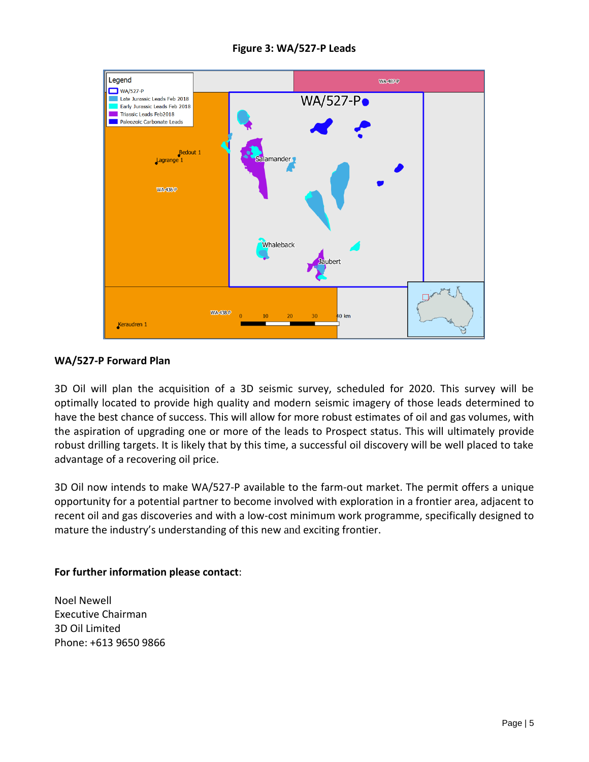

#### **Figure 3: WA/527-P Leads**

#### **WA/527-P Forward Plan**

3D Oil will plan the acquisition of a 3D seismic survey, scheduled for 2020. This survey will be optimally located to provide high quality and modern seismic imagery of those leads determined to have the best chance of success. This will allow for more robust estimates of oil and gas volumes, with the aspiration of upgrading one or more of the leads to Prospect status. This will ultimately provide robust drilling targets. It is likely that by this time, a successful oil discovery will be well placed to take advantage of a recovering oil price.

3D Oil now intends to make WA/527-P available to the farm-out market. The permit offers a unique opportunity for a potential partner to become involved with exploration in a frontier area, adjacent to recent oil and gas discoveries and with a low-cost minimum work programme, specifically designed to mature the industry's understanding of this new and exciting frontier.

#### **For further information please contact**:

Noel Newell Executive Chairman 3D Oil Limited Phone: +613 9650 9866